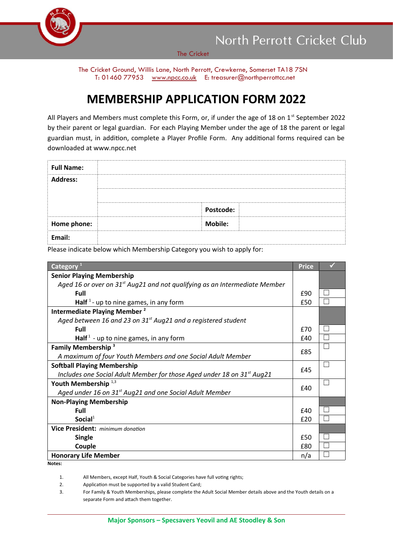

North Perrott Cricket Club

The Cricket

The Cricket Ground, Willis Lane, North Perrott, Crewkerne, Somerset TA18 7SN T: 01460 77953 [www.npcc.co.uk](http://www.npcc.co.uk/) E: treasurer@northperrottcc.net

## **MEMBERSHIP APPLICATION FORM 2022**

All Players and Members must complete this Form, or, if under the age of 18 on  $1<sup>st</sup>$  September 2022 by their parent or legal guardian. For each Playing Member under the age of 18 the parent or legal guardian must, in addition, complete a Player Profile Form. Any additional forms required can be downloaded at www.npcc.net

| <b>Full Name:</b> |                |
|-------------------|----------------|
| <b>Address:</b>   |                |
|                   |                |
|                   | Postcode:      |
| Home phone:       | <b>Mobile:</b> |
| Email:            |                |

Please indicate below which Membership Category you wish to apply for:

| Category <sup>1</sup>                                                              | <b>Price</b> |              |
|------------------------------------------------------------------------------------|--------------|--------------|
| <b>Senior Playing Membership</b>                                                   |              |              |
| Aged 16 or over on $31st$ Aug21 and not qualifying as an Intermediate Member       |              |              |
| Full                                                                               |              |              |
| Half <sup>1</sup> - up to nine games, in any form                                  |              |              |
| Intermediate Playing Member <sup>2</sup>                                           |              |              |
| Aged between 16 and 23 on $31st$ Aug21 and a registered student                    |              |              |
| Full                                                                               | £70          |              |
| Half <sup>1</sup> - up to nine games, in any form                                  | £40          |              |
| <b>Family Membership<sup>3</sup></b>                                               |              |              |
| A maximum of four Youth Members and one Social Adult Member                        |              |              |
| <b>Softball Playing Membership</b>                                                 |              | $\mathbf{L}$ |
| Includes one Social Adult Member for those Aged under 18 on 31 <sup>st</sup> Aug21 |              |              |
| Youth Membership <sup>1,3</sup>                                                    |              | $\mathbf{L}$ |
| Aged under 16 on 31 <sup>st</sup> Aug21 and one Social Adult Member                |              |              |
| <b>Non-Playing Membership</b>                                                      |              |              |
| Full                                                                               | f40          |              |
| Social <sup>1</sup>                                                                | f20          |              |
| Vice President: minimum donation                                                   |              |              |
| <b>Single</b>                                                                      |              |              |
| Couple                                                                             | £80          |              |
| <b>Honorary Life Member</b>                                                        |              |              |

**Notes:**

1. All Members, except Half, Youth & Social Categories have full voting rights;

2. Application must be supported by a valid Student Card;

3. For Family & Youth Memberships, please complete the Adult Social Member details above and the Youth details on a separate Form and attach them together.